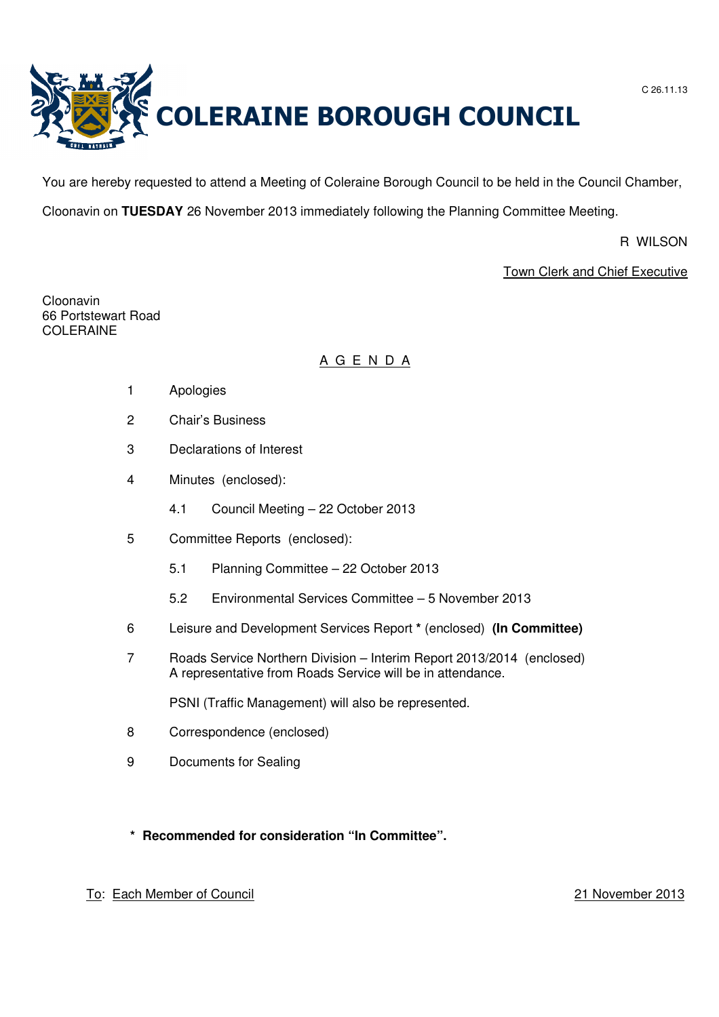



You are hereby requested to attend a Meeting of Coleraine Borough Council to be held in the Council Chamber,

Cloonavin on **TUESDAY** 26 November 2013 immediately following the Planning Committee Meeting.

R WILSON

Town Clerk and Chief Executive

Cloonavin 66 Portstewart Road COLERAINE

# A G E N D A

- 1 Apologies
- 2 Chair's Business
- 3 Declarations of Interest
- 4 Minutes (enclosed):
	- 4.1 Council Meeting 22 October 2013
- 5 Committee Reports (enclosed):
	- 5.1 Planning Committee 22 October 2013
	- 5.2 Environmental Services Committee 5 November 2013
- 6 Leisure and Development Services Report **\*** (enclosed) **(In Committee)**
- 7 Roads Service Northern Division Interim Report 2013/2014 (enclosed) A representative from Roads Service will be in attendance.

PSNI (Traffic Management) will also be represented.

- 8 Correspondence (enclosed)
- 9 Documents for Sealing

# **\* Recommended for consideration "In Committee".**

# To: Each Member of Council 21 November 2013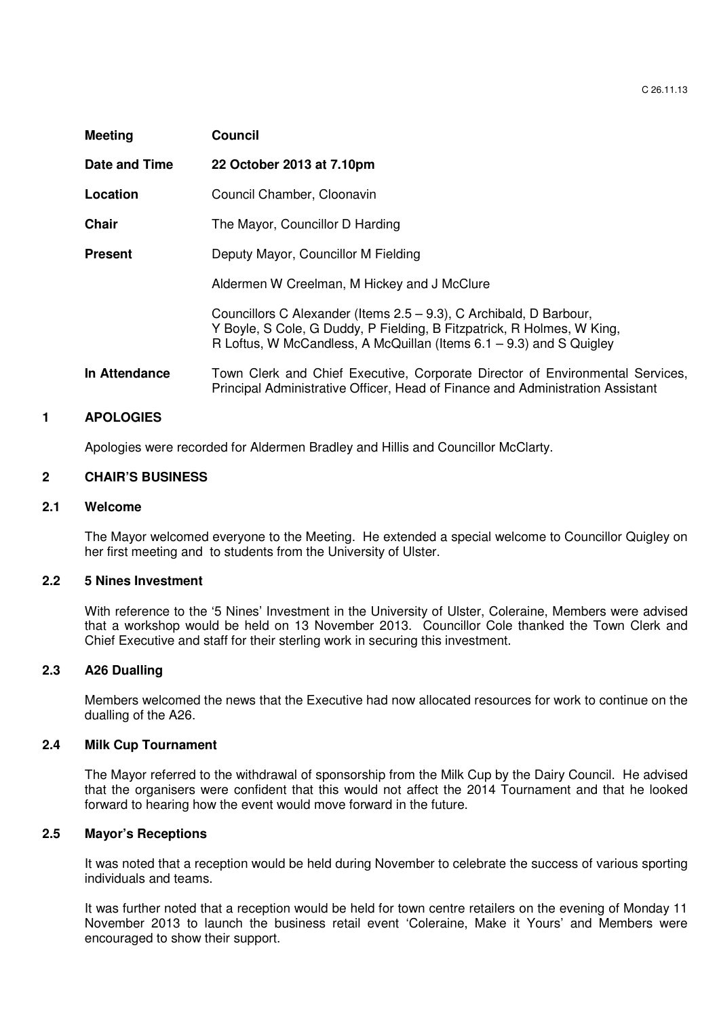| <b>Meeting</b> | <b>Council</b>                                                                                                                                                                                                         |
|----------------|------------------------------------------------------------------------------------------------------------------------------------------------------------------------------------------------------------------------|
| Date and Time  | 22 October 2013 at 7.10pm                                                                                                                                                                                              |
| Location       | Council Chamber, Cloonavin                                                                                                                                                                                             |
| <b>Chair</b>   | The Mayor, Councillor D Harding                                                                                                                                                                                        |
| <b>Present</b> | Deputy Mayor, Councillor M Fielding                                                                                                                                                                                    |
|                | Aldermen W Creelman, M Hickey and J McClure                                                                                                                                                                            |
|                | Councillors C Alexander (Items 2.5 – 9.3), C Archibald, D Barbour,<br>Y Boyle, S Cole, G Duddy, P Fielding, B Fitzpatrick, R Holmes, W King,<br>R Loftus, W McCandless, A McQuillan (Items $6.1 - 9.3$ ) and S Quigley |
| In Attendance  | Town Clerk and Chief Executive, Corporate Director of Environmental Services,<br>Principal Administrative Officer, Head of Finance and Administration Assistant                                                        |

### **1 APOLOGIES**

Apologies were recorded for Aldermen Bradley and Hillis and Councillor McClarty.

### **2 CHAIR'S BUSINESS**

#### **2.1 Welcome**

The Mayor welcomed everyone to the Meeting. He extended a special welcome to Councillor Quigley on her first meeting and to students from the University of Ulster.

#### **2.2 5 Nines Investment**

With reference to the '5 Nines' Investment in the University of Ulster, Coleraine, Members were advised that a workshop would be held on 13 November 2013. Councillor Cole thanked the Town Clerk and Chief Executive and staff for their sterling work in securing this investment.

# **2.3 A26 Dualling**

Members welcomed the news that the Executive had now allocated resources for work to continue on the dualling of the A26.

#### **2.4 Milk Cup Tournament**

The Mayor referred to the withdrawal of sponsorship from the Milk Cup by the Dairy Council. He advised that the organisers were confident that this would not affect the 2014 Tournament and that he looked forward to hearing how the event would move forward in the future.

### **2.5 Mayor's Receptions**

It was noted that a reception would be held during November to celebrate the success of various sporting individuals and teams.

It was further noted that a reception would be held for town centre retailers on the evening of Monday 11 November 2013 to launch the business retail event 'Coleraine, Make it Yours' and Members were encouraged to show their support.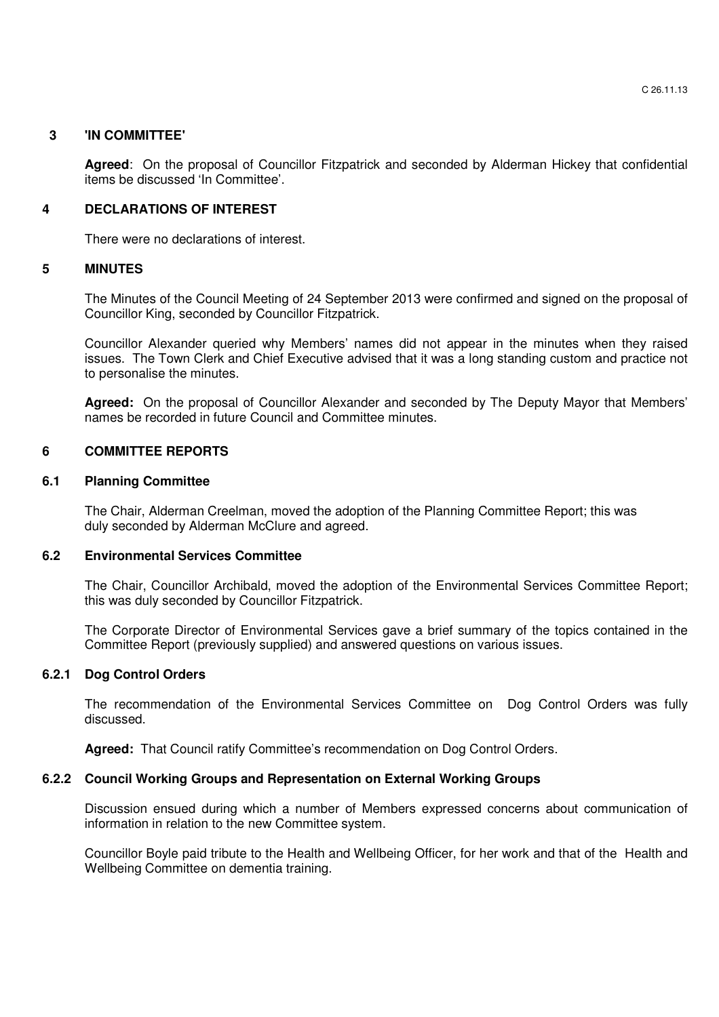## **3 'IN COMMITTEE'**

**Agreed**: On the proposal of Councillor Fitzpatrick and seconded by Alderman Hickey that confidential items be discussed 'In Committee'.

# **4 DECLARATIONS OF INTEREST**

There were no declarations of interest.

# **5 MINUTES**

 The Minutes of the Council Meeting of 24 September 2013 were confirmed and signed on the proposal of Councillor King, seconded by Councillor Fitzpatrick.

 Councillor Alexander queried why Members' names did not appear in the minutes when they raised issues. The Town Clerk and Chief Executive advised that it was a long standing custom and practice not to personalise the minutes.

**Agreed:** On the proposal of Councillor Alexander and seconded by The Deputy Mayor that Members' names be recorded in future Council and Committee minutes.

# **6 COMMITTEE REPORTS**

### **6.1 Planning Committee**

 The Chair, Alderman Creelman, moved the adoption of the Planning Committee Report; this was duly seconded by Alderman McClure and agreed.

### **6.2 Environmental Services Committee**

The Chair, Councillor Archibald, moved the adoption of the Environmental Services Committee Report; this was duly seconded by Councillor Fitzpatrick.

The Corporate Director of Environmental Services gave a brief summary of the topics contained in the Committee Report (previously supplied) and answered questions on various issues.

### **6.2.1 Dog Control Orders**

 The recommendation of the Environmental Services Committee on Dog Control Orders was fully discussed.

 **Agreed:** That Council ratify Committee's recommendation on Dog Control Orders.

### **6.2.2 Council Working Groups and Representation on External Working Groups**

Discussion ensued during which a number of Members expressed concerns about communication of information in relation to the new Committee system.

Councillor Boyle paid tribute to the Health and Wellbeing Officer, for her work and that of the Health and Wellbeing Committee on dementia training.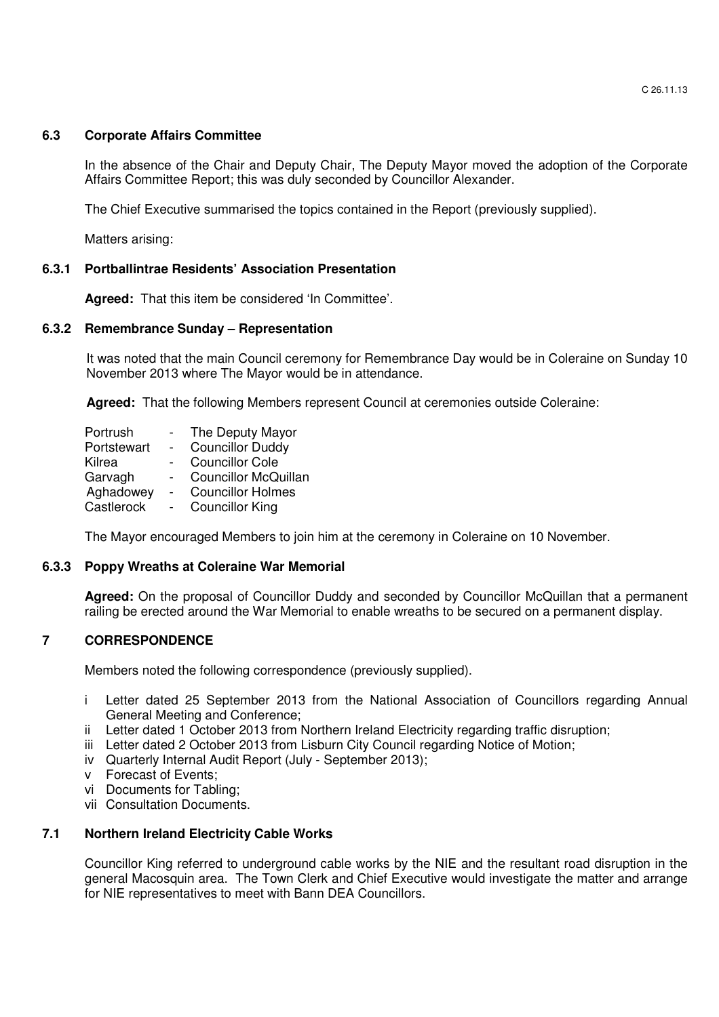## **6.3 Corporate Affairs Committee**

In the absence of the Chair and Deputy Chair, The Deputy Mayor moved the adoption of the Corporate Affairs Committee Report; this was duly seconded by Councillor Alexander.

The Chief Executive summarised the topics contained in the Report (previously supplied).

Matters arising:

# **6.3.1 Portballintrae Residents' Association Presentation**

**Agreed:** That this item be considered 'In Committee'.

### **6.3.2 Remembrance Sunday – Representation**

It was noted that the main Council ceremony for Remembrance Day would be in Coleraine on Sunday 10 November 2013 where The Mayor would be in attendance.

**Agreed:** That the following Members represent Council at ceremonies outside Coleraine:

| Portrush    |                | The Deputy Mayor            |
|-------------|----------------|-----------------------------|
| Portstewart | $\blacksquare$ | <b>Councillor Duddy</b>     |
| Kilrea      |                | <b>Councillor Cole</b>      |
| Garvagh     |                | <b>Councillor McQuillan</b> |
| Aghadowey   | $\sim$         | <b>Councillor Holmes</b>    |
| Castlerock  | $\blacksquare$ | <b>Councillor King</b>      |

The Mayor encouraged Members to join him at the ceremony in Coleraine on 10 November.

### **6.3.3 Poppy Wreaths at Coleraine War Memorial**

**Agreed:** On the proposal of Councillor Duddy and seconded by Councillor McQuillan that a permanent railing be erected around the War Memorial to enable wreaths to be secured on a permanent display.

### **7 CORRESPONDENCE**

Members noted the following correspondence (previously supplied).

- i Letter dated 25 September 2013 from the National Association of Councillors regarding Annual General Meeting and Conference;
- ii Letter dated 1 October 2013 from Northern Ireland Electricity regarding traffic disruption;
- iii Letter dated 2 October 2013 from Lisburn City Council regarding Notice of Motion;
- iv Quarterly Internal Audit Report (July September 2013);
- v Forecast of Events;
- vi Documents for Tabling;
- vii Consultation Documents.

### **7.1 Northern Ireland Electricity Cable Works**

Councillor King referred to underground cable works by the NIE and the resultant road disruption in the general Macosquin area. The Town Clerk and Chief Executive would investigate the matter and arrange for NIE representatives to meet with Bann DEA Councillors.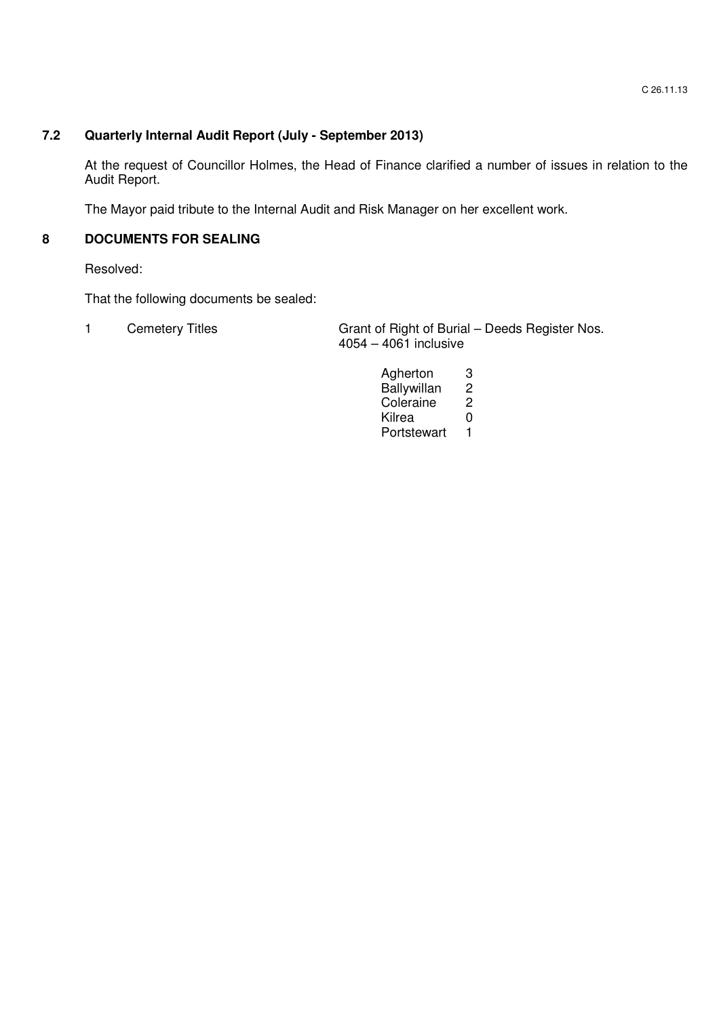# **7.2 Quarterly Internal Audit Report (July - September 2013)**

At the request of Councillor Holmes, the Head of Finance clarified a number of issues in relation to the Audit Report.

The Mayor paid tribute to the Internal Audit and Risk Manager on her excellent work.

# **8 DOCUMENTS FOR SEALING**

Resolved:

That the following documents be sealed:

| <b>Cemetery Titles</b> | Grant of Right of Burial - Deeds Register Nos. |
|------------------------|------------------------------------------------|
|                        | $4054 - 4061$ inclusive                        |

Agherton 3<br>Ballywillan 2 Ballywillan 2<br>Coleraine 2 Coleraine 2<br>Kilrea 0 e di secondo all'anno 1992. Il secondo un'anno 1992 all'altre di secondo di Santa College di Santa Co Portstewart 1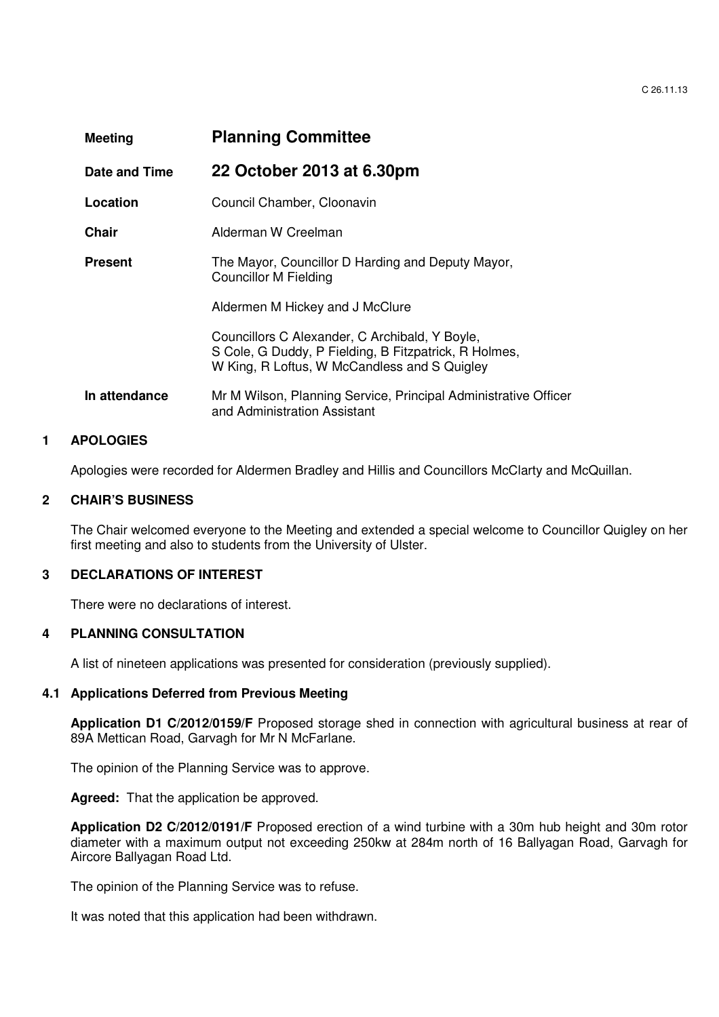| <b>Meeting</b> | <b>Planning Committee</b>                                                                                                                               |  |
|----------------|---------------------------------------------------------------------------------------------------------------------------------------------------------|--|
| Date and Time  | 22 October 2013 at 6.30pm                                                                                                                               |  |
| Location       | Council Chamber, Cloonavin                                                                                                                              |  |
| Chair          | Alderman W Creelman                                                                                                                                     |  |
| <b>Present</b> | The Mayor, Councillor D Harding and Deputy Mayor,<br>Councillor M Fielding                                                                              |  |
|                | Aldermen M Hickey and J McClure                                                                                                                         |  |
|                | Councillors C Alexander, C Archibald, Y Boyle,<br>S Cole, G Duddy, P Fielding, B Fitzpatrick, R Holmes,<br>W King, R Loftus, W McCandless and S Quigley |  |
| In attendance  | Mr M Wilson, Planning Service, Principal Administrative Officer<br>and Administration Assistant                                                         |  |

# **1 APOLOGIES**

Apologies were recorded for Aldermen Bradley and Hillis and Councillors McClarty and McQuillan.

## **2 CHAIR'S BUSINESS**

The Chair welcomed everyone to the Meeting and extended a special welcome to Councillor Quigley on her first meeting and also to students from the University of Ulster.

#### **3 DECLARATIONS OF INTEREST**

There were no declarations of interest.

#### **4 PLANNING CONSULTATION**

A list of nineteen applications was presented for consideration (previously supplied).

#### **4.1 Applications Deferred from Previous Meeting**

**Application D1 C/2012/0159/F** Proposed storage shed in connection with agricultural business at rear of 89A Mettican Road, Garvagh for Mr N McFarlane.

The opinion of the Planning Service was to approve.

**Agreed:** That the application be approved.

**Application D2 C/2012/0191/F** Proposed erection of a wind turbine with a 30m hub height and 30m rotor diameter with a maximum output not exceeding 250kw at 284m north of 16 Ballyagan Road, Garvagh for Aircore Ballyagan Road Ltd.

The opinion of the Planning Service was to refuse.

It was noted that this application had been withdrawn.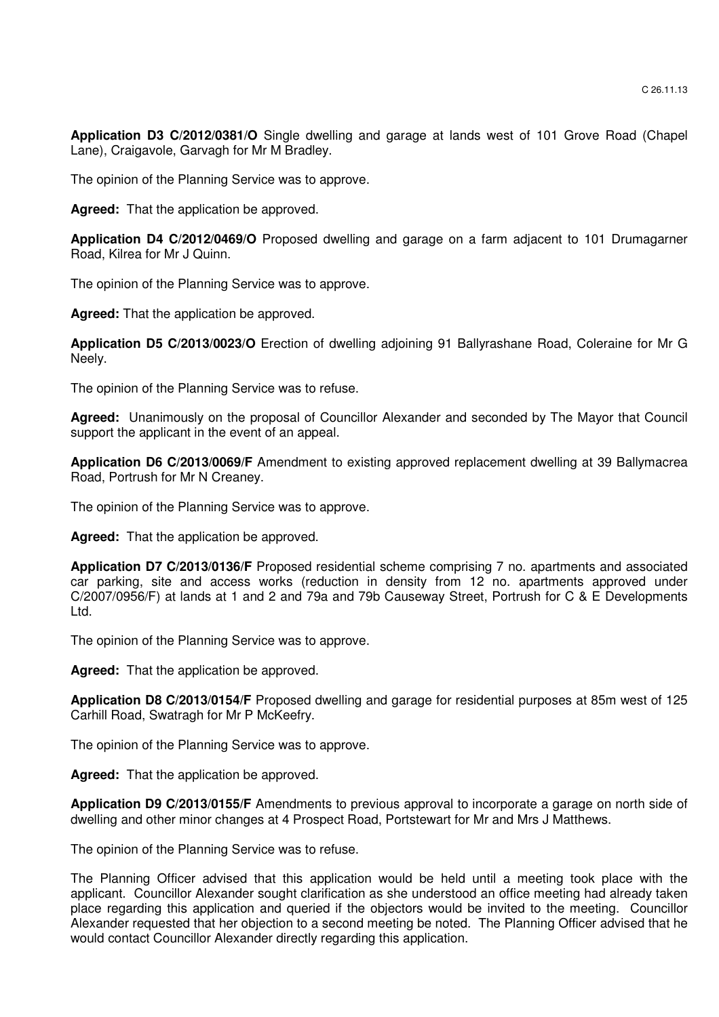**Application D3 C/2012/0381/O** Single dwelling and garage at lands west of 101 Grove Road (Chapel Lane), Craigavole, Garvagh for Mr M Bradley.

The opinion of the Planning Service was to approve.

**Agreed:** That the application be approved.

**Application D4 C/2012/0469/O** Proposed dwelling and garage on a farm adjacent to 101 Drumagarner Road, Kilrea for Mr J Quinn.

The opinion of the Planning Service was to approve.

**Agreed:** That the application be approved.

**Application D5 C/2013/0023/O** Erection of dwelling adjoining 91 Ballyrashane Road, Coleraine for Mr G Neely.

The opinion of the Planning Service was to refuse.

**Agreed:** Unanimously on the proposal of Councillor Alexander and seconded by The Mayor that Council support the applicant in the event of an appeal.

**Application D6 C/2013/0069/F** Amendment to existing approved replacement dwelling at 39 Ballymacrea Road, Portrush for Mr N Creaney.

The opinion of the Planning Service was to approve.

**Agreed:** That the application be approved.

**Application D7 C/2013/0136/F** Proposed residential scheme comprising 7 no. apartments and associated car parking, site and access works (reduction in density from 12 no. apartments approved under C/2007/0956/F) at lands at 1 and 2 and 79a and 79b Causeway Street, Portrush for C & E Developments Ltd.

The opinion of the Planning Service was to approve.

 **Agreed:** That the application be approved.

**Application D8 C/2013/0154/F** Proposed dwelling and garage for residential purposes at 85m west of 125 Carhill Road, Swatragh for Mr P McKeefry.

The opinion of the Planning Service was to approve.

**Agreed:** That the application be approved.

**Application D9 C/2013/0155/F** Amendments to previous approval to incorporate a garage on north side of dwelling and other minor changes at 4 Prospect Road, Portstewart for Mr and Mrs J Matthews.

The opinion of the Planning Service was to refuse.

The Planning Officer advised that this application would be held until a meeting took place with the applicant. Councillor Alexander sought clarification as she understood an office meeting had already taken place regarding this application and queried if the objectors would be invited to the meeting. Councillor Alexander requested that her objection to a second meeting be noted. The Planning Officer advised that he would contact Councillor Alexander directly regarding this application.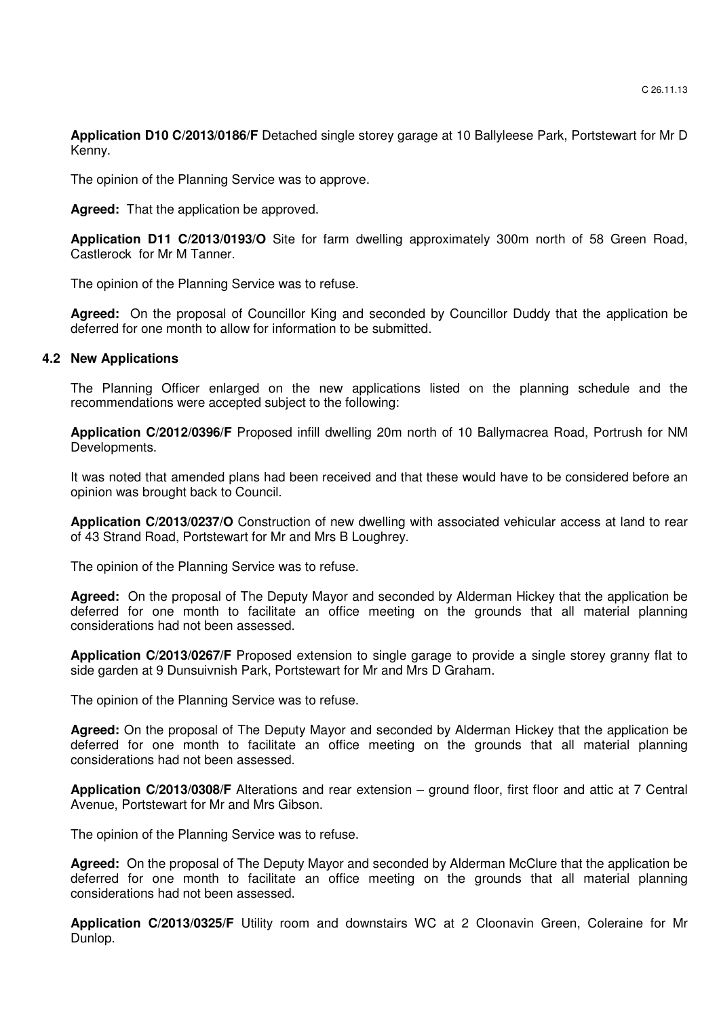**Application D10 C/2013/0186/F** Detached single storey garage at 10 Ballyleese Park, Portstewart for Mr D Kenny.

The opinion of the Planning Service was to approve.

**Agreed:** That the application be approved.

**Application D11 C/2013/0193/O** Site for farm dwelling approximately 300m north of 58 Green Road, Castlerock for Mr M Tanner.

The opinion of the Planning Service was to refuse.

**Agreed:** On the proposal of Councillor King and seconded by Councillor Duddy that the application be deferred for one month to allow for information to be submitted.

#### **4.2 New Applications**

The Planning Officer enlarged on the new applications listed on the planning schedule and the recommendations were accepted subject to the following:

**Application C/2012/0396/F** Proposed infill dwelling 20m north of 10 Ballymacrea Road, Portrush for NM Developments.

It was noted that amended plans had been received and that these would have to be considered before an opinion was brought back to Council.

**Application C/2013/0237/O** Construction of new dwelling with associated vehicular access at land to rear of 43 Strand Road, Portstewart for Mr and Mrs B Loughrey.

The opinion of the Planning Service was to refuse.

**Agreed:** On the proposal of The Deputy Mayor and seconded by Alderman Hickey that the application be deferred for one month to facilitate an office meeting on the grounds that all material planning considerations had not been assessed.

**Application C/2013/0267/F** Proposed extension to single garage to provide a single storey granny flat to side garden at 9 Dunsuivnish Park, Portstewart for Mr and Mrs D Graham.

The opinion of the Planning Service was to refuse.

**Agreed:** On the proposal of The Deputy Mayor and seconded by Alderman Hickey that the application be deferred for one month to facilitate an office meeting on the grounds that all material planning considerations had not been assessed.

**Application C/2013/0308/F** Alterations and rear extension – ground floor, first floor and attic at 7 Central Avenue, Portstewart for Mr and Mrs Gibson.

The opinion of the Planning Service was to refuse.

**Agreed:** On the proposal of The Deputy Mayor and seconded by Alderman McClure that the application be deferred for one month to facilitate an office meeting on the grounds that all material planning considerations had not been assessed.

**Application C/2013/0325/F** Utility room and downstairs WC at 2 Cloonavin Green, Coleraine for Mr Dunlop.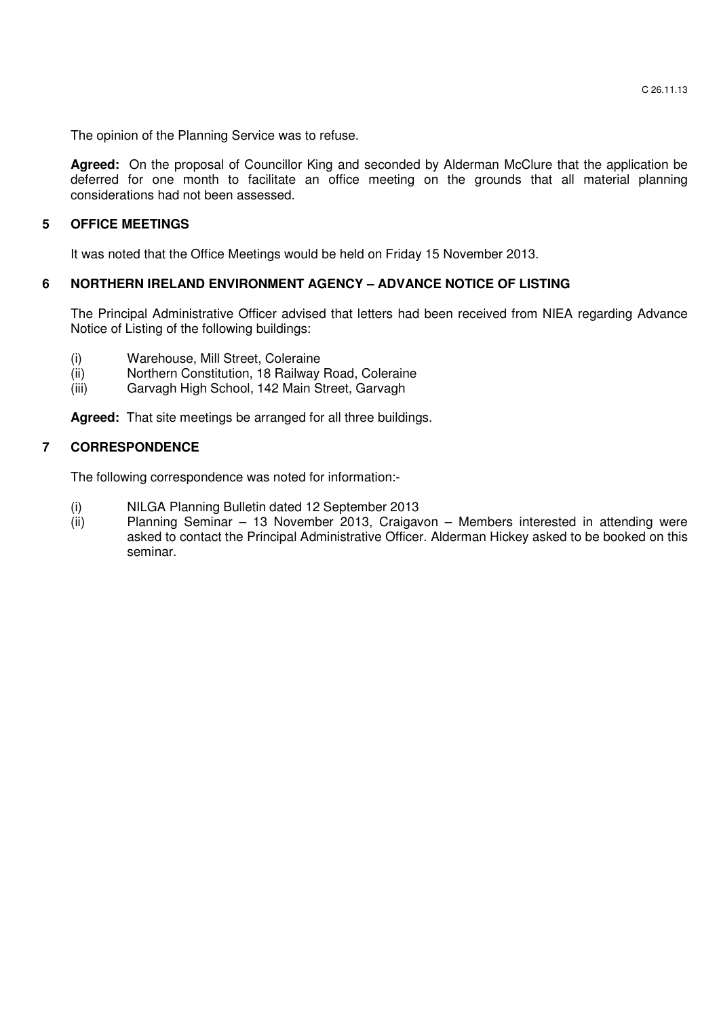The opinion of the Planning Service was to refuse.

Agreed: On the proposal of Councillor King and seconded by Alderman McClure that the application be deferred for one month to facilitate an office meeting on the grounds that all material planning considerations had not been assessed.

## **5 OFFICE MEETINGS**

It was noted that the Office Meetings would be held on Friday 15 November 2013.

### **6 NORTHERN IRELAND ENVIRONMENT AGENCY – ADVANCE NOTICE OF LISTING**

The Principal Administrative Officer advised that letters had been received from NIEA regarding Advance Notice of Listing of the following buildings:

- (i) Warehouse, Mill Street, Coleraine
- (ii) Northern Constitution, 18 Railway Road, Coleraine
- (iii) Garvagh High School, 142 Main Street, Garvagh

 **Agreed:** That site meetings be arranged for all three buildings.

### **7 CORRESPONDENCE**

The following correspondence was noted for information:-

- (i) NILGA Planning Bulletin dated 12 September 2013
- Planning Seminar 13 November 2013, Craigavon Members interested in attending were asked to contact the Principal Administrative Officer. Alderman Hickey asked to be booked on this seminar.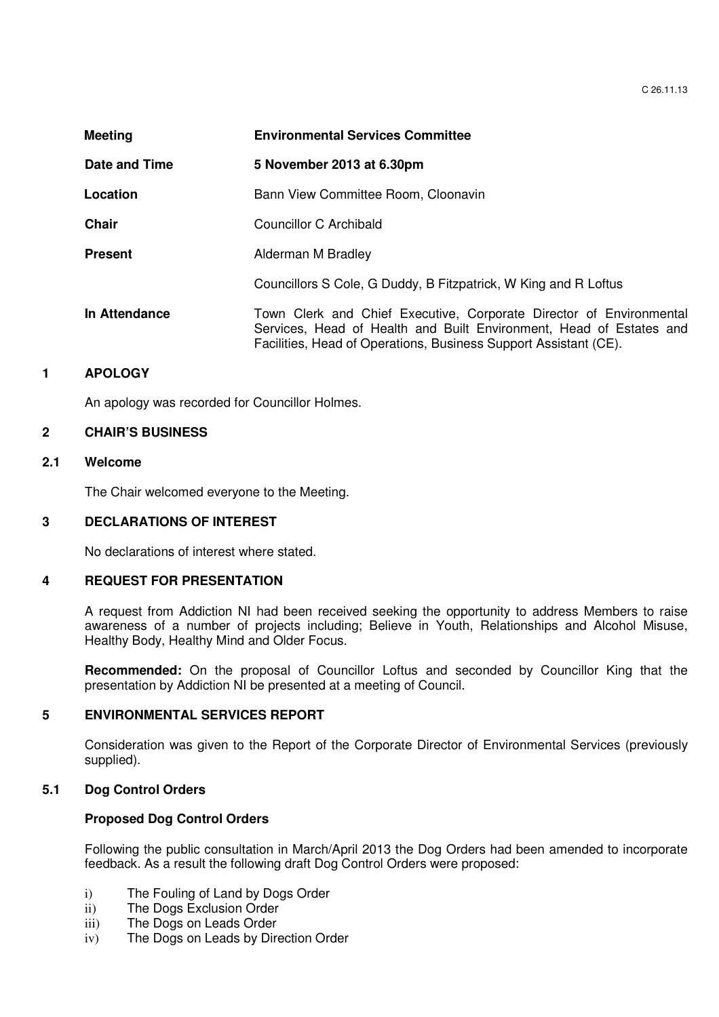| <b>Meeting</b> | <b>Environmental Services Committee</b>                                                                                                                                                                        |  |
|----------------|----------------------------------------------------------------------------------------------------------------------------------------------------------------------------------------------------------------|--|
| Date and Time  | 5 November 2013 at 6.30pm                                                                                                                                                                                      |  |
| Location       | Bann View Committee Room, Cloonavin                                                                                                                                                                            |  |
| <b>Chair</b>   | Councillor C Archibald                                                                                                                                                                                         |  |
| <b>Present</b> | Alderman M Bradley                                                                                                                                                                                             |  |
|                | Councillors S Cole, G Duddy, B Fitzpatrick, W King and R Loftus                                                                                                                                                |  |
| In Attendance  | Town Clerk and Chief Executive, Corporate Director of Environmental<br>Services, Head of Health and Built Environment, Head of Estates and<br>Facilities, Head of Operations, Business Support Assistant (CE). |  |

# **1 APOLOGY**

An apology was recorded for Councillor Holmes.

# **2 CHAIR'S BUSINESS**

### **2.1 Welcome**

The Chair welcomed everyone to the Meeting.

### **3 DECLARATIONS OF INTEREST**

No declarations of interest where stated.

### **4 REQUEST FOR PRESENTATION**

A request from Addiction NI had been received seeking the opportunity to address Members to raise awareness of a number of projects including; Believe in Youth, Relationships and Alcohol Misuse, Healthy Body, Healthy Mind and Older Focus.

**Recommended:** On the proposal of Councillor Loftus and seconded by Councillor King that the presentation by Addiction NI be presented at a meeting of Council.

### **5 ENVIRONMENTAL SERVICES REPORT**

Consideration was given to the Report of the Corporate Director of Environmental Services (previously supplied).

# **5.1 Dog Control Orders**

### **Proposed Dog Control Orders**

Following the public consultation in March/April 2013 the Dog Orders had been amended to incorporate feedback. As a result the following draft Dog Control Orders were proposed:

- i) The Fouling of Land by Dogs Order
- ii) The Dogs Exclusion Order
- iii) The Dogs on Leads Order
- iv) The Dogs on Leads by Direction Order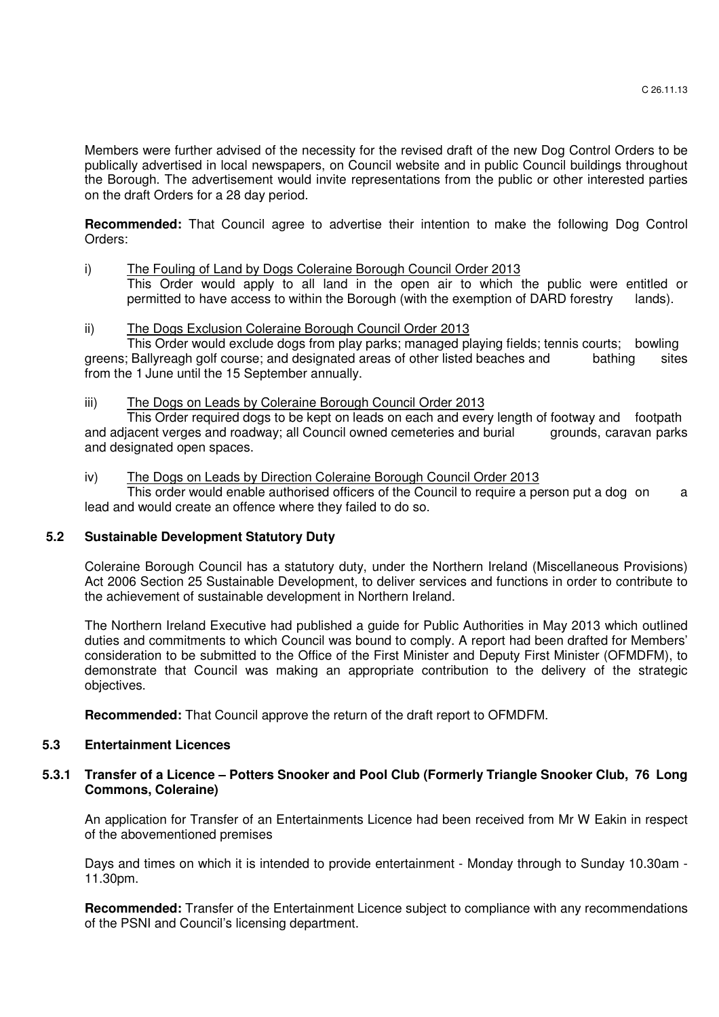Members were further advised of the necessity for the revised draft of the new Dog Control Orders to be publically advertised in local newspapers, on Council website and in public Council buildings throughout the Borough. The advertisement would invite representations from the public or other interested parties on the draft Orders for a 28 day period.

**Recommended:** That Council agree to advertise their intention to make the following Dog Control Orders:

#### i) The Fouling of Land by Dogs Coleraine Borough Council Order 2013 This Order would apply to all land in the open air to which the public were entitled or permitted to have access to within the Borough (with the exemption of DARD forestry lands).

# ii) The Dogs Exclusion Coleraine Borough Council Order 2013

 This Order would exclude dogs from play parks; managed playing fields; tennis courts; bowling greens; Ballyreagh golf course; and designated areas of other listed beaches and bathing sites from the 1 June until the 15 September annually.

# iii) The Dogs on Leads by Coleraine Borough Council Order 2013

 This Order required dogs to be kept on leads on each and every length of footway and footpath and adjacent verges and roadway; all Council owned cemeteries and burial grounds, caravan parks and designated open spaces.

### iv) The Dogs on Leads by Direction Coleraine Borough Council Order 2013

This order would enable authorised officers of the Council to require a person put a dog on a lead and would create an offence where they failed to do so.

# **5.2 Sustainable Development Statutory Duty**

Coleraine Borough Council has a statutory duty, under the Northern Ireland (Miscellaneous Provisions) Act 2006 Section 25 Sustainable Development, to deliver services and functions in order to contribute to the achievement of sustainable development in Northern Ireland.

The Northern Ireland Executive had published a guide for Public Authorities in May 2013 which outlined duties and commitments to which Council was bound to comply. A report had been drafted for Members' consideration to be submitted to the Office of the First Minister and Deputy First Minister (OFMDFM), to demonstrate that Council was making an appropriate contribution to the delivery of the strategic objectives.

**Recommended:** That Council approve the return of the draft report to OFMDFM.

### **5.3 Entertainment Licences**

# **5.3.1 Transfer of a Licence – Potters Snooker and Pool Club (Formerly Triangle Snooker Club, 76 Long Commons, Coleraine)**

An application for Transfer of an Entertainments Licence had been received from Mr W Eakin in respect of the abovementioned premises

Days and times on which it is intended to provide entertainment - Monday through to Sunday 10.30am - 11.30pm.

**Recommended:** Transfer of the Entertainment Licence subject to compliance with any recommendations of the PSNI and Council's licensing department.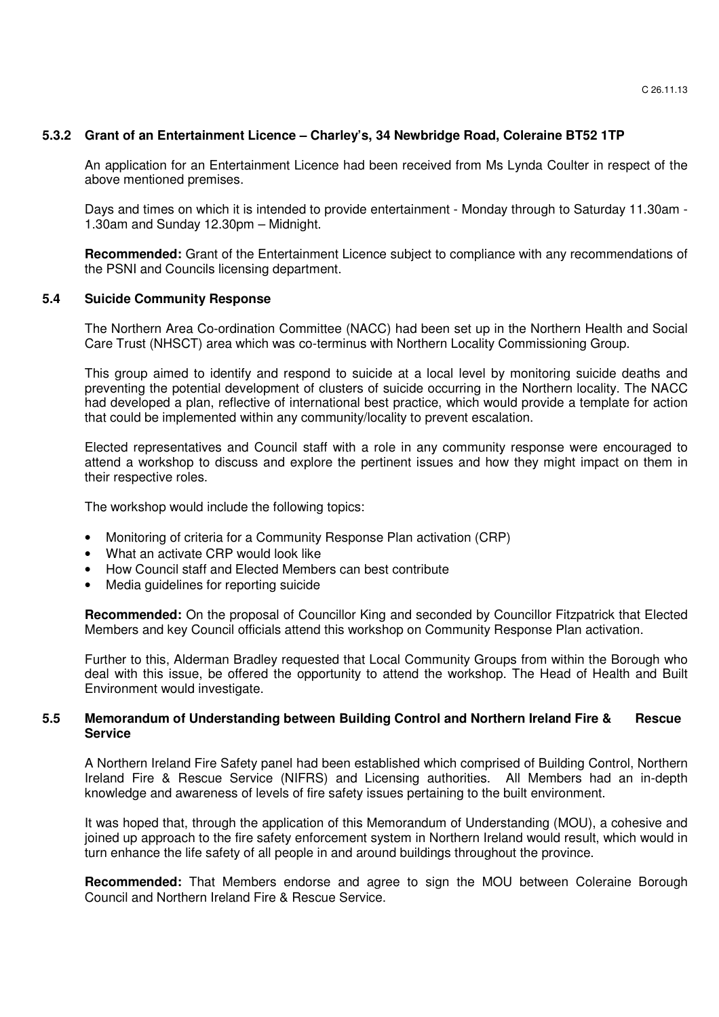## **5.3.2 Grant of an Entertainment Licence – Charley's, 34 Newbridge Road, Coleraine BT52 1TP**

An application for an Entertainment Licence had been received from Ms Lynda Coulter in respect of the above mentioned premises.

Days and times on which it is intended to provide entertainment - Monday through to Saturday 11.30am - 1.30am and Sunday 12.30pm – Midnight.

**Recommended:** Grant of the Entertainment Licence subject to compliance with any recommendations of the PSNI and Councils licensing department.

#### **5.4 Suicide Community Response**

The Northern Area Co-ordination Committee (NACC) had been set up in the Northern Health and Social Care Trust (NHSCT) area which was co-terminus with Northern Locality Commissioning Group.

This group aimed to identify and respond to suicide at a local level by monitoring suicide deaths and preventing the potential development of clusters of suicide occurring in the Northern locality. The NACC had developed a plan, reflective of international best practice, which would provide a template for action that could be implemented within any community/locality to prevent escalation.

Elected representatives and Council staff with a role in any community response were encouraged to attend a workshop to discuss and explore the pertinent issues and how they might impact on them in their respective roles.

The workshop would include the following topics:

- Monitoring of criteria for a Community Response Plan activation (CRP)
- What an activate CRP would look like
- How Council staff and Elected Members can best contribute
- Media guidelines for reporting suicide

**Recommended:** On the proposal of Councillor King and seconded by Councillor Fitzpatrick that Elected Members and key Council officials attend this workshop on Community Response Plan activation.

Further to this, Alderman Bradley requested that Local Community Groups from within the Borough who deal with this issue, be offered the opportunity to attend the workshop. The Head of Health and Built Environment would investigate.

### **5.5 Memorandum of Understanding between Building Control and Northern Ireland Fire & Rescue Service**

A Northern Ireland Fire Safety panel had been established which comprised of Building Control, Northern Ireland Fire & Rescue Service (NIFRS) and Licensing authorities. All Members had an in-depth knowledge and awareness of levels of fire safety issues pertaining to the built environment.

It was hoped that, through the application of this Memorandum of Understanding (MOU), a cohesive and joined up approach to the fire safety enforcement system in Northern Ireland would result, which would in turn enhance the life safety of all people in and around buildings throughout the province.

**Recommended:** That Members endorse and agree to sign the MOU between Coleraine Borough Council and Northern Ireland Fire & Rescue Service.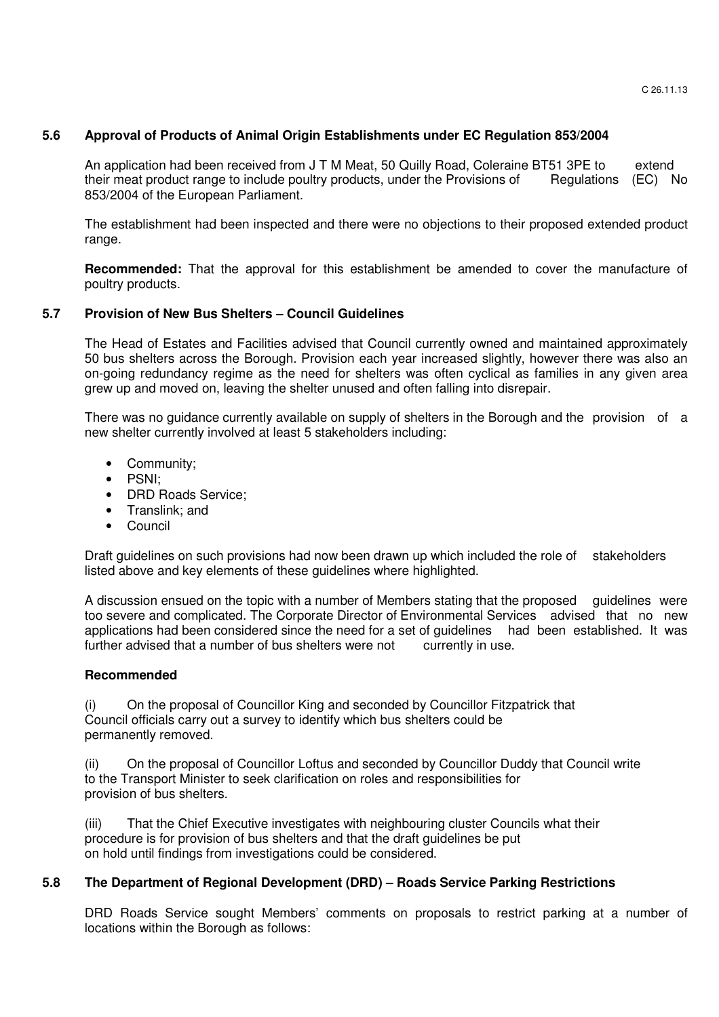# **5.6 Approval of Products of Animal Origin Establishments under EC Regulation 853/2004**

An application had been received from J T M Meat, 50 Quilly Road, Coleraine BT51 3PE to extend their meat product range to include poultry products, under the Provisions of Regulations (EC) No 853/2004 of the European Parliament.

The establishment had been inspected and there were no objections to their proposed extended product range.

**Recommended:** That the approval for this establishment be amended to cover the manufacture of poultry products.

# **5.7 Provision of New Bus Shelters – Council Guidelines**

The Head of Estates and Facilities advised that Council currently owned and maintained approximately 50 bus shelters across the Borough. Provision each year increased slightly, however there was also an on-going redundancy regime as the need for shelters was often cyclical as families in any given area grew up and moved on, leaving the shelter unused and often falling into disrepair.

 There was no guidance currently available on supply of shelters in the Borough and the provision of a new shelter currently involved at least 5 stakeholders including:

- Community;
- PSNI;
- DRD Roads Service:
- Translink; and
- Council

Draft guidelines on such provisions had now been drawn up which included the role of stakeholders listed above and key elements of these guidelines where highlighted.

 A discussion ensued on the topic with a number of Members stating that the proposed guidelines were too severe and complicated. The Corporate Director of Environmental Services advised that no new applications had been considered since the need for a set of guidelines had been established. It was further advised that a number of bus shelters were not currently in use. further advised that a number of bus shelters were not

### **Recommended**

(i) On the proposal of Councillor King and seconded by Councillor Fitzpatrick that Council officials carry out a survey to identify which bus shelters could be permanently removed.

 (ii) On the proposal of Councillor Loftus and seconded by Councillor Duddy that Council write to the Transport Minister to seek clarification on roles and responsibilities for provision of bus shelters.

 (iii) That the Chief Executive investigates with neighbouring cluster Councils what their procedure is for provision of bus shelters and that the draft guidelines be put on hold until findings from investigations could be considered.

### **5.8 The Department of Regional Development (DRD) – Roads Service Parking Restrictions**

DRD Roads Service sought Members' comments on proposals to restrict parking at a number of locations within the Borough as follows: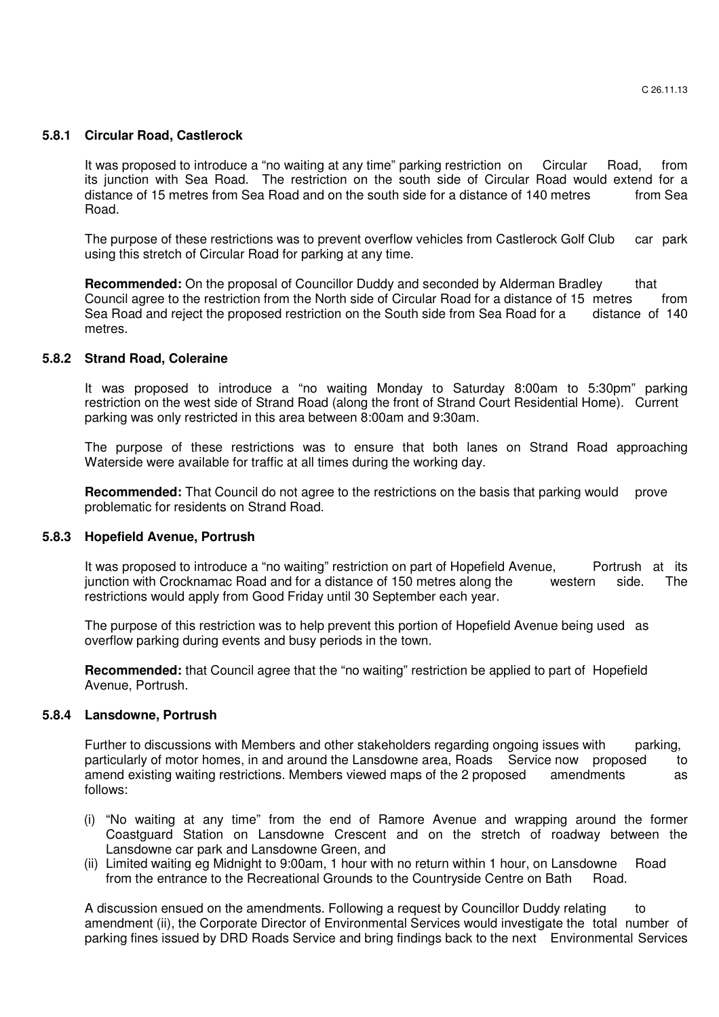#### **5.8.1 Circular Road, Castlerock**

 It was proposed to introduce a "no waiting at any time" parking restriction on Circular Road, from its junction with Sea Road. The restriction on the south side of Circular Road would extend for a distance of 15 metres from Sea Road and on the south side for a distance of 140 metres from Sea Road.

 The purpose of these restrictions was to prevent overflow vehicles from Castlerock Golf Club car park using this stretch of Circular Road for parking at any time.

**Recommended:** On the proposal of Councillor Duddy and seconded by Alderman Bradley that Council agree to the restriction from the North side of Circular Road for a distance of 15 metres from<br>Sea Road and reject the proposed restriction on the South side from Sea Road for a distance of 140 Sea Road and reject the proposed restriction on the South side from Sea Road for a metres.

#### **5.8.2 Strand Road, Coleraine**

 It was proposed to introduce a "no waiting Monday to Saturday 8:00am to 5:30pm" parking restriction on the west side of Strand Road (along the front of Strand Court Residential Home). Current parking was only restricted in this area between 8:00am and 9:30am.

 The purpose of these restrictions was to ensure that both lanes on Strand Road approaching Waterside were available for traffic at all times during the working day.

**Recommended:** That Council do not agree to the restrictions on the basis that parking would prove problematic for residents on Strand Road.

#### **5.8.3 Hopefield Avenue, Portrush**

It was proposed to introduce a "no waiting" restriction on part of Hopefield Avenue, Portrush at its junction with Crocknamac Road and for a distance of 150 metres along the western side. The restrictions would apply from Good Friday until 30 September each year.

 The purpose of this restriction was to help prevent this portion of Hopefield Avenue being used as overflow parking during events and busy periods in the town.

**Recommended:** that Council agree that the "no waiting" restriction be applied to part of Hopefield Avenue, Portrush.

#### **5.8.4 Lansdowne, Portrush**

 Further to discussions with Members and other stakeholders regarding ongoing issues with parking, particularly of motor homes, in and around the Lansdowne area, Roads Service now proposed to amend existing waiting restrictions. Members viewed maps of the 2 proposed amendments as follows:

- (i) "No waiting at any time" from the end of Ramore Avenue and wrapping around the former Coastguard Station on Lansdowne Crescent and on the stretch of roadway between the Lansdowne car park and Lansdowne Green, and
- (ii) Limited waiting eg Midnight to 9:00am, 1 hour with no return within 1 hour, on Lansdowne Road from the entrance to the Recreational Grounds to the Countryside Centre on Bath Road.

 A discussion ensued on the amendments. Following a request by Councillor Duddy relating to amendment (ii), the Corporate Director of Environmental Services would investigate the total number of parking fines issued by DRD Roads Service and bring findings back to the next Environmental Services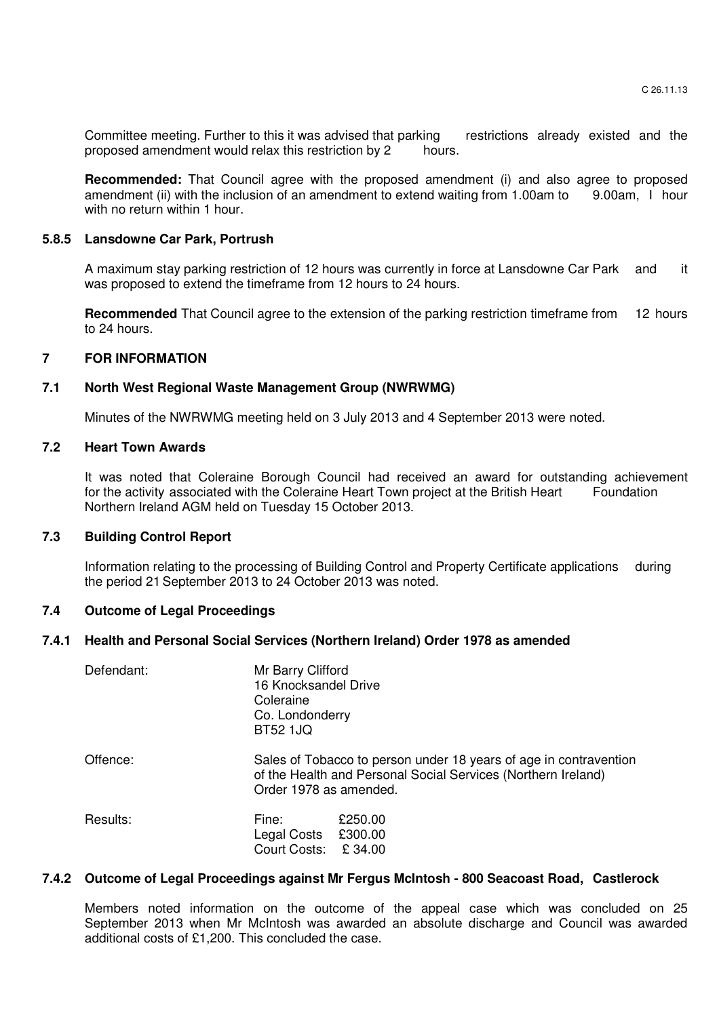Committee meeting. Further to this it was advised that parking restrictions already existed and the proposed amendment would relax this restriction by 2 hours.

**Recommended:** That Council agree with the proposed amendment (i) and also agree to proposed amendment (ii) with the inclusion of an amendment to extend waiting from 1.00am to 9.00am, I hour with no return within 1 hour.

#### **5.8.5 Lansdowne Car Park, Portrush**

A maximum stay parking restriction of 12 hours was currently in force at Lansdowne Car Park and it was proposed to extend the timeframe from 12 hours to 24 hours.

**Recommended** That Council agree to the extension of the parking restriction timeframe from 12 hours to 24 hours.

# **7 FOR INFORMATION**

# **7.1 North West Regional Waste Management Group (NWRWMG)**

Minutes of the NWRWMG meeting held on 3 July 2013 and 4 September 2013 were noted.

## **7.2 Heart Town Awards**

 It was noted that Coleraine Borough Council had received an award for outstanding achievement for the activity associated with the Coleraine Heart Town project at the British Heart Foundation Northern Ireland AGM held on Tuesday 15 October 2013.

# **7.3 Building Control Report**

 Information relating to the processing of Building Control and Property Certificate applications during the period 21 September 2013 to 24 October 2013 was noted.

### **7.4 Outcome of Legal Proceedings**

#### **7.4.1 Health and Personal Social Services (Northern Ireland) Order 1978 as amended**

| Defendant: | Mr Barry Clifford<br>16 Knocksandel Drive<br>Coleraine<br>Co. Londonderry<br><b>BT52 1JQ</b>                                                                 |  |  |
|------------|--------------------------------------------------------------------------------------------------------------------------------------------------------------|--|--|
| Offence:   | Sales of Tobacco to person under 18 years of age in contravention<br>of the Health and Personal Social Services (Northern Ireland)<br>Order 1978 as amended. |  |  |
| Results:   | £250.00<br>Fine:<br>Legal Costs £300.00<br>Court Costs: £34.00                                                                                               |  |  |

### **7.4.2 Outcome of Legal Proceedings against Mr Fergus McIntosh - 800 Seacoast Road, Castlerock**

 Members noted information on the outcome of the appeal case which was concluded on 25 September 2013 when Mr McIntosh was awarded an absolute discharge and Council was awarded additional costs of £1,200. This concluded the case.